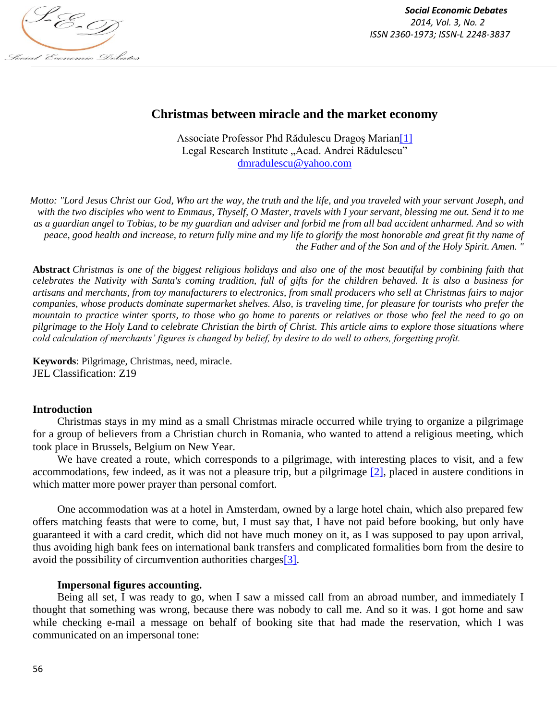

# **Christmas between miracle and the market economy**

Associate Professor Phd Rădulescu Dragoş Marian[1] Legal Research Institute "Acad. Andrei Rădulescu" dmradulescu@yahoo.com

*Motto: "Lord Jesus Christ our God, Who art the way, the truth and the life, and you traveled with your servant Joseph, and with the two disciples who went to Emmaus, Thyself, O Master, travels with I your servant, blessing me out. Send it to me as a guardian angel to Tobias, to be my guardian and adviser and forbid me from all bad accident unharmed. And so with peace, good health and increase, to return fully mine and my life to glorify the most honorable and great fit thy name of the Father and of the Son and of the Holy Spirit. Amen. "*

**Abstract** *Christmas is one of the biggest religious holidays and also one of the most beautiful by combining faith that celebrates the Nativity with Santa's coming tradition, full of gifts for the children behaved. It is also a business for artisans and merchants, from toy manufacturers to electronics, from small producers who sell at Christmas fairs to major companies, whose products dominate supermarket shelves. Also, is traveling time, for pleasure for tourists who prefer the mountain to practice winter sports, to those who go home to parents or relatives or those who feel the need to go on pilgrimage to the Holy Land to celebrate Christian the birth of Christ. This article aims to explore those situations where cold calculation of merchants' figures is changed by belief, by desire to do well to others, forgetting profit.*

**Keywords**: Pilgrimage, Christmas, need, miracle. JEL Classification: Z19

### **Introduction**

Christmas stays in my mind as a small Christmas miracle occurred while trying to organize a pilgrimage for a group of believers from a Christian church in Romania, who wanted to attend a religious meeting, which took place in Brussels, Belgium on New Year.

We have created a route, which corresponds to a pilgrimage, with interesting places to visit, and a few accommodations, few indeed, as it was not a pleasure trip, but a pilgrimage [2], placed in austere conditions in which matter more power prayer than personal comfort.

One accommodation was at a hotel in Amsterdam, owned by a large hotel chain, which also prepared few offers matching feasts that were to come, but, I must say that, I have not paid before booking, but only have guaranteed it with a card credit, which did not have much money on it, as I was supposed to pay upon arrival, thus avoiding high bank fees on international bank transfers and complicated formalities born from the desire to avoid the possibility of circumvention authorities charges[3].

#### **Impersonal figures accounting.**

Being all set, I was ready to go, when I saw a missed call from an abroad number, and immediately I thought that something was wrong, because there was nobody to call me. And so it was. I got home and saw while checking e-mail a message on behalf of booking site that had made the reservation, which I was communicated on an impersonal tone: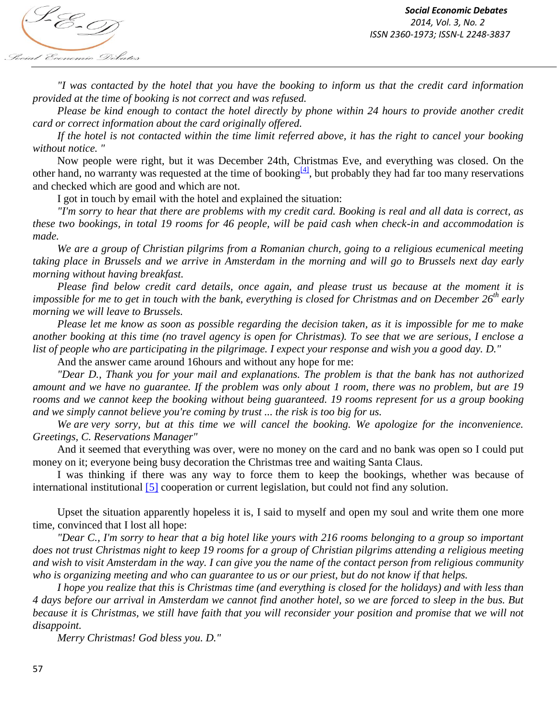

*"I was contacted by the hotel that you have the booking to inform us that the credit card information provided at the time of booking is not correct and was refused.*

*Please be kind enough to contact the hotel directly by phone within 24 hours to provide another credit card or correct information about the card originally offered.*

*If the hotel is not contacted within the time limit referred above, it has the right to cancel your booking without notice. "*

Now people were right, but it was December 24th, Christmas Eve, and everything was closed. On the other hand, no warranty was requested at the time of booking<sup>[4]</sup>, but probably they had far too many reservations and checked which are good and which are not.

I got in touch by email with the hotel and explained the situation:

*"I'm sorry to hear that there are problems with my credit card. Booking is real and all data is correct, as these two bookings, in total 19 rooms for 46 people, will be paid cash when check-in and accommodation is made.*

*We are a group of Christian pilgrims from a Romanian church, going to a religious ecumenical meeting taking place in Brussels and we arrive in Amsterdam in the morning and will go to Brussels next day early morning without having breakfast.*

*Please find below credit card details, once again, and please trust us because at the moment it is impossible for me to get in touch with the bank, everything is closed for Christmas and on December 26th early morning we will leave to Brussels.*

*Please let me know as soon as possible regarding the decision taken, as it is impossible for me to make another booking at this time (no travel agency is open for Christmas). To see that we are serious, I enclose a list of people who are participating in the pilgrimage. I expect your response and wish you a good day. D."*

And the answer came around 16hours and without any hope for me:

*"Dear D., Thank you for your mail and explanations. The problem is that the bank has not authorized amount and we have no guarantee. If the problem was only about 1 room, there was no problem, but are 19 rooms and we cannot keep the booking without being guaranteed. 19 rooms represent for us a group booking and we simply cannot believe you're coming by trust ... the risk is too big for us.*

*We are very sorry, but at this time we will cancel the booking. We apologize for the inconvenience. Greetings, C. Reservations Manager"*

And it seemed that everything was over, were no money on the card and no bank was open so I could put money on it; everyone being busy decoration the Christmas tree and waiting Santa Claus.

I was thinking if there was any way to force them to keep the bookings, whether was because of international institutional [5] cooperation or current legislation, but could not find any solution.

Upset the situation apparently hopeless it is, I said to myself and open my soul and write them one more time, convinced that I lost all hope:

*"Dear C., I'm sorry to hear that a big hotel like yours with 216 rooms belonging to a group so important does not trust Christmas night to keep 19 rooms for a group of Christian pilgrims attending a religious meeting and wish to visit Amsterdam in the way. I can give you the name of the contact person from religious community who is organizing meeting and who can guarantee to us or our priest, but do not know if that helps.*

*I hope you realize that this is Christmas time (and everything is closed for the holidays) and with less than 4 days before our arrival in Amsterdam we cannot find another hotel, so we are forced to sleep in the bus. But because it is Christmas, we still have faith that you will reconsider your position and promise that we will not disappoint.*

*Merry Christmas! God bless you. D."*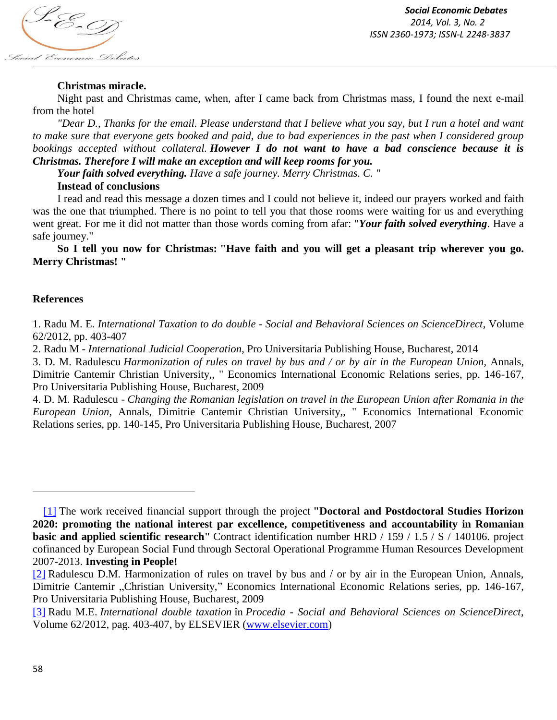

# **Christmas miracle.**

Night past and Christmas came, when, after I came back from Christmas mass, I found the next e-mail from the hotel

*"Dear D., Thanks for the email. Please understand that I believe what you say, but I run a hotel and want to make sure that everyone gets booked and paid, due to bad experiences in the past when I considered group bookings accepted without collateral. However I do not want to have a bad conscience because it is Christmas. Therefore I will make an exception and will keep rooms for you.*

*Your faith solved everything. Have a safe journey. Merry Christmas. C. "*

## **Instead of conclusions**

I read and read this message a dozen times and I could not believe it, indeed our prayers worked and faith was the one that triumphed. There is no point to tell you that those rooms were waiting for us and everything went great. For me it did not matter than those words coming from afar: "*Your faith solved everything*. Have a safe journey."

**So I tell you now for Christmas: "Have faith and you will get a pleasant trip wherever you go. Merry Christmas! "**

## **References**

1. Radu M. E. *International Taxation to do double - Social and Behavioral Sciences on ScienceDirect*, Volume 62/2012, pp. 403-407

2. Radu M - *International Judicial Cooperation*, Pro Universitaria Publishing House, Bucharest, 2014

3. D. M. Radulescu *Harmonization of rules on travel by bus and / or by air in the European Union*, Annals, Dimitrie Cantemir Christian University,, " Economics International Economic Relations series, pp. 146-167, Pro Universitaria Publishing House, Bucharest, 2009

4. D. M. Radulescu - *Changing the Romanian legislation on travel in the European Union after Romania in the European Union*, Annals, Dimitrie Cantemir Christian University,, " Economics International Economic Relations series, pp. 140-145, Pro Universitaria Publishing House, Bucharest, 2007

<sup>[1]</sup> The work received financial support through the project **"Doctoral and Postdoctoral Studies Horizon 2020: promoting the national interest par excellence, competitiveness and accountability in Romanian basic and applied scientific research"** Contract identification number HRD / 159 / 1.5 / S / 140106. project cofinanced by European Social Fund through Sectoral Operational Programme Human Resources Development 2007-2013. **Investing in People!**

<sup>[2]</sup> Radulescu D.M. Harmonization of rules on travel by bus and / or by air in the European Union, Annals, Dimitrie Cantemir "Christian University," Economics International Economic Relations series, pp. 146-167, Pro Universitaria Publishing House, Bucharest, 2009

<sup>[3]</sup> Radu M.E. *International double taxation* în *Procedia - Social and Behavioral Sciences on ScienceDirect*, Volume 62/2012, pag. 403-407, by ELSEVIER (www.elsevier.com)